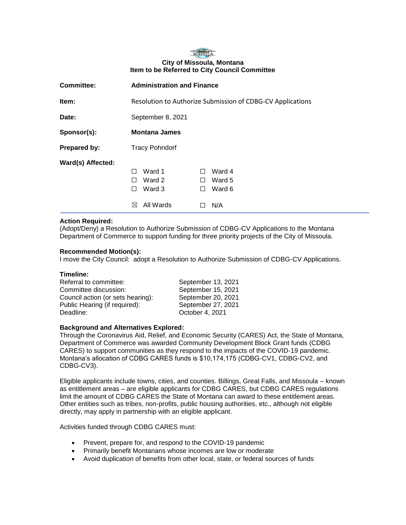## MISSOULA **City of Missoula, Montana Item to be Referred to City Council Committee**

| <b>Committee:</b> | <b>Administration and Finance</b>                                                                                                          |  |  |
|-------------------|--------------------------------------------------------------------------------------------------------------------------------------------|--|--|
| Item:             | Resolution to Authorize Submission of CDBG-CV Applications                                                                                 |  |  |
| Date:             | September 8, 2021                                                                                                                          |  |  |
| Sponsor(s):       | <b>Montana James</b>                                                                                                                       |  |  |
| Prepared by:      | <b>Tracy Pohndorf</b>                                                                                                                      |  |  |
| Ward(s) Affected: | Ward 1<br>Ward 4<br>П<br>H<br>Ward 2<br>Ward 5<br>П<br>H<br>Ward 3<br>Ward 6<br>$\mathsf{L}$<br>$\perp$<br>All Wards<br>N/A<br>$\boxtimes$ |  |  |
|                   |                                                                                                                                            |  |  |

# **Action Required:**

(Adopt/Deny) a Resolution to Authorize Submission of CDBG-CV Applications to the Montana Department of Commerce to support funding for three priority projects of the City of Missoula.

## **Recommended Motion(s):**

I move the City Council: adopt a Resolution to Authorize Submission of CDBG-CV Applications.

#### **Timeline:**

| Referral to committee:            | September 13, 2021 |
|-----------------------------------|--------------------|
| Committee discussion:             | September 15, 2021 |
| Council action (or sets hearing): | September 20, 2021 |
| Public Hearing (if required):     | September 27, 2021 |
| Deadline:                         | October 4, 2021    |

## **Background and Alternatives Explored:**

Through the Coronavirus Aid, Relief, and Economic Security (CARES) Act, the State of Montana, Department of Commerce was awarded Community Development Block Grant funds (CDBG CARES) to support communities as they respond to the impacts of the COVID-19 pandemic. Montana's allocation of CDBG CARES funds is \$10,174,175 (CDBG-CV1, CDBG-CV2, and CDBG-CV3).

Eligible applicants include towns, cities, and counties. Billings, Great Falls, and Missoula – known as entitlement areas – are eligible applicants for CDBG CARES, but CDBG CARES regulations limit the amount of CDBG CARES the State of Montana can award to these entitlement areas. Other entities such as tribes, non-profits, public housing authorities, etc., although not eligible directly, may apply in partnership with an eligible applicant.

Activities funded through CDBG CARES must:

- Prevent, prepare for, and respond to the COVID-19 pandemic
- Primarily benefit Montanans whose incomes are low or moderate
- Avoid duplication of benefits from other local, state, or federal sources of funds